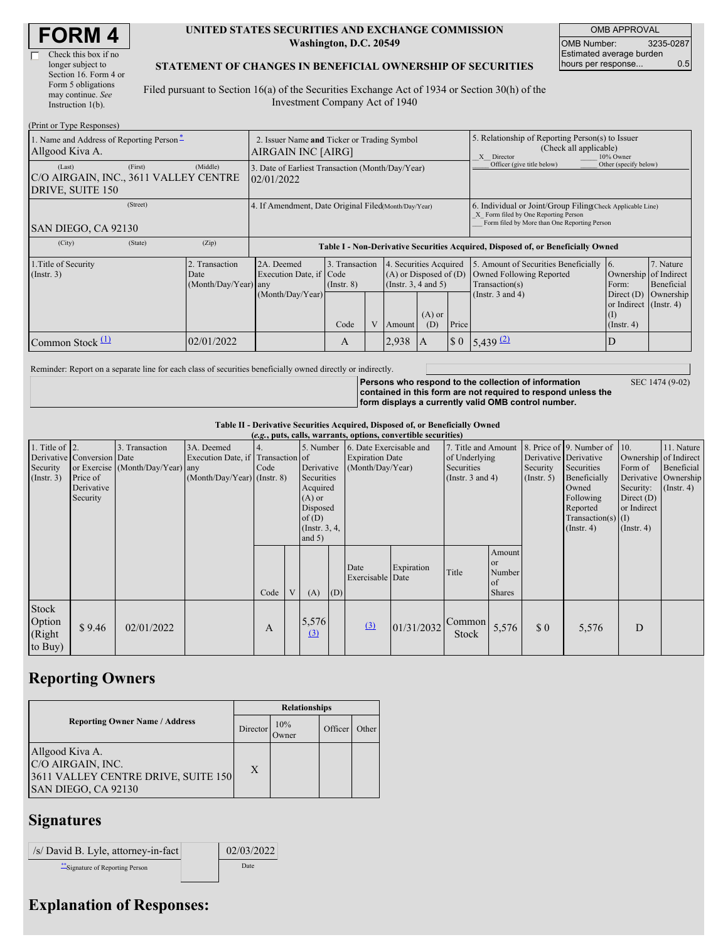| <b>FORM4</b> |
|--------------|
|--------------|

| Check this box if no  |
|-----------------------|
| longer subject to     |
| Section 16. Form 4 or |
| Form 5 obligations    |
| may continue. See     |
| Instruction $1(b)$ .  |

#### **UNITED STATES SECURITIES AND EXCHANGE COMMISSION Washington, D.C. 20549**

OMB APPROVAL OMB Number: 3235-0287 Estimated average burden hours per response... 0.5

SEC 1474 (9-02)

#### **STATEMENT OF CHANGES IN BENEFICIAL OWNERSHIP OF SECURITIES**

Filed pursuant to Section 16(a) of the Securities Exchange Act of 1934 or Section 30(h) of the Investment Company Act of 1940

| (Print or Type Responses)                                                      |                                                  |                                                                                  |                                   |  |                                                                              |                 |                            |                                                                                                                                                    |                                                                               |           |  |
|--------------------------------------------------------------------------------|--------------------------------------------------|----------------------------------------------------------------------------------|-----------------------------------|--|------------------------------------------------------------------------------|-----------------|----------------------------|----------------------------------------------------------------------------------------------------------------------------------------------------|-------------------------------------------------------------------------------|-----------|--|
| 1. Name and Address of Reporting Person-<br>Allgood Kiva A.                    |                                                  | 2. Issuer Name and Ticker or Trading Symbol<br>AIRGAIN INC [AIRG]                |                                   |  |                                                                              |                 |                            | 5. Relationship of Reporting Person(s) to Issuer<br>(Check all applicable)<br>X Director<br>10% Owner                                              |                                                                               |           |  |
| (First)<br>(Last)<br>C/O AIRGAIN, INC., 3611 VALLEY CENTRE<br>DRIVE, SUITE 150 | (Middle)                                         | 3. Date of Earliest Transaction (Month/Day/Year)<br>02/01/2022                   |                                   |  |                                                                              |                 | Officer (give title below) | Other (specify below)                                                                                                                              |                                                                               |           |  |
| (Street)<br>SAN DIEGO, CA 92130                                                |                                                  | 4. If Amendment, Date Original Filed Month/Day/Year)                             |                                   |  |                                                                              |                 |                            | 6. Individual or Joint/Group Filing Check Applicable Line)<br>X Form filed by One Reporting Person<br>Form filed by More than One Reporting Person |                                                                               |           |  |
| (State)<br>(City)                                                              | (Zip)                                            | Table I - Non-Derivative Securities Acquired, Disposed of, or Beneficially Owned |                                   |  |                                                                              |                 |                            |                                                                                                                                                    |                                                                               |           |  |
| 1. Title of Security<br>$($ Instr. 3 $)$                                       | 2. Transaction<br>Date<br>$(Month/Day/Year)$ any | 2A. Deemed<br>Execution Date, if Code                                            | 3. Transaction<br>$($ Instr. $8)$ |  | 4. Securities Acquired<br>$(A)$ or Disposed of $(D)$<br>(Insert. 3, 4 and 5) |                 |                            | 5. Amount of Securities Beneficially<br>Owned Following Reported<br>Transaction(s)                                                                 | 7. Nature<br>$\overline{6}$ .<br>Ownership of Indirect<br>Beneficial<br>Form: |           |  |
|                                                                                |                                                  | (Month/Day/Year)                                                                 | Code                              |  | Amount                                                                       | $(A)$ or<br>(D) | Price                      | (Instr. $3$ and $4$ )                                                                                                                              | Direct $(D)$<br>or Indirect (Instr. 4)<br>(I)<br>$($ Instr. 4 $)$             | Ownership |  |
| Common Stock $\Pi$                                                             | 02/01/2022                                       |                                                                                  | A                                 |  | 2,938                                                                        | A               | $\boldsymbol{\$}\ 0$       | $5,439$ (2)                                                                                                                                        | D                                                                             |           |  |

Reminder: Report on a separate line for each class of securities beneficially owned directly or indirectly.

**Persons who respond to the collection of information contained in this form are not required to respond unless the form displays a currently valid OMB control number.**

**Table II - Derivative Securities Acquired, Disposed of, or Beneficially Owned**

|                                                    | (e.g., puts, calls, warrants, options, convertible securities)   |                                                    |                                                                                  |            |   |                                                                                                      |     |                                            |                                                                                                                  |                        |                                               |                                                       |                                                                                                                                          |                                                                                                  |                                                                      |
|----------------------------------------------------|------------------------------------------------------------------|----------------------------------------------------|----------------------------------------------------------------------------------|------------|---|------------------------------------------------------------------------------------------------------|-----|--------------------------------------------|------------------------------------------------------------------------------------------------------------------|------------------------|-----------------------------------------------|-------------------------------------------------------|------------------------------------------------------------------------------------------------------------------------------------------|--------------------------------------------------------------------------------------------------|----------------------------------------------------------------------|
| 1. Title of $ 2$ .<br>Security<br>$($ Instr. 3 $)$ | Derivative Conversion Date<br>Price of<br>Derivative<br>Security | 3. Transaction<br>or Exercise (Month/Day/Year) any | 3A. Deemed<br>Execution Date, if Transaction of<br>$(Month/Day/Year)$ (Instr. 8) | 4.<br>Code |   | Derivative<br>Securities<br>Acquired<br>$(A)$ or<br>Disposed<br>of(D)<br>(Instr. $3, 4,$<br>and $5)$ |     | <b>Expiration Date</b><br>(Month/Day/Year) | 5. Number 6. Date Exercisable and<br>7. Title and Amount<br>of Underlying<br>Securities<br>(Instr. $3$ and $4$ ) |                        |                                               | Derivative Derivative<br>Security<br>$($ Instr. 5 $)$ | 8. Price of 9. Number of 10.<br>Securities<br>Beneficially<br>Owned<br>Following<br>Reported<br>Transaction(s) $(I)$<br>$($ Instr. 4 $)$ | Ownership of Indirect<br>Form of<br>Security:<br>Direct $(D)$<br>or Indirect<br>$($ Instr. 4 $)$ | 11. Nature<br>Beneficial<br>Derivative Ownership<br>$($ Instr. 4 $)$ |
|                                                    |                                                                  |                                                    |                                                                                  | Code       | V | (A)                                                                                                  | (D) | Date<br>Exercisable Date                   | Expiration                                                                                                       | Title                  | Amount<br>or<br>Number<br>of<br><b>Shares</b> |                                                       |                                                                                                                                          |                                                                                                  |                                                                      |
| Stock<br>Option<br>(Right<br>to Buy)               | \$9.46                                                           | 02/01/2022                                         |                                                                                  | A          |   | 5,576<br>$\Omega$                                                                                    |     | (3)                                        | 01/31/2032                                                                                                       | Common<br><b>Stock</b> | 5,576                                         | $\boldsymbol{\mathsf{S}}$ 0                           | 5,576                                                                                                                                    | D                                                                                                |                                                                      |

### **Reporting Owners**

|                                                                                                    | <b>Relationships</b> |              |                      |       |  |  |  |
|----------------------------------------------------------------------------------------------------|----------------------|--------------|----------------------|-------|--|--|--|
| <b>Reporting Owner Name / Address</b>                                                              | Director             | 10%<br>Owner | Officer <sup>1</sup> | Other |  |  |  |
| Allgood Kiva A.<br>C/O AIRGAIN, INC.<br>3611 VALLEY CENTRE DRIVE, SUITE 150<br>SAN DIEGO, CA 92130 | X                    |              |                      |       |  |  |  |

## **Signatures**

| /s/ David B. Lyle, attorney-in-fact | 02/03/2022 |
|-------------------------------------|------------|
| Signature of Reporting Person       | Date       |

# **Explanation of Responses:**